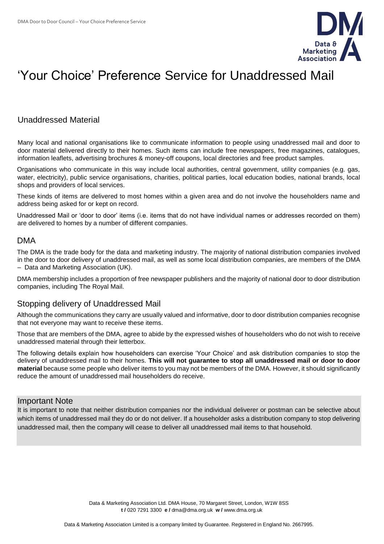

# 'Your Choice' Preference Service for Unaddressed Mail

## Unaddressed Material

Many local and national organisations like to communicate information to people using unaddressed mail and door to door material delivered directly to their homes. Such items can include free newspapers, free magazines, catalogues, information leaflets, advertising brochures & money-off coupons, local directories and free product samples.

Organisations who communicate in this way include local authorities, central government, utility companies (e.g. gas, water, electricity), public service organisations, charities, political parties, local education bodies, national brands, local shops and providers of local services.

These kinds of items are delivered to most homes within a given area and do not involve the householders name and address being asked for or kept on record.

Unaddressed Mail or 'door to door' items (i.e. items that do not have individual names or addresses recorded on them) are delivered to homes by a number of different companies.

### DMA

The DMA is the trade body for the data and marketing industry. The majority of national distribution companies involved in the door to door delivery of unaddressed mail, as well as some local distribution companies, are members of the DMA – Data and Marketing Association (UK).

DMA membership includes a proportion of free newspaper publishers and the majority of national door to door distribution companies, including The Royal Mail.

### Stopping delivery of Unaddressed Mail

Although the communications they carry are usually valued and informative, door to door distribution companies recognise that not everyone may want to receive these items.

Those that are members of the DMA, agree to abide by the expressed wishes of householders who do not wish to receive unaddressed material through their letterbox.

The following details explain how householders can exercise 'Your Choice' and ask distribution companies to stop the delivery of unaddressed mail to their homes. **This will not guarantee to stop all unaddressed mail or door to door material** because some people who deliver items to you may not be members of the DMA. However, it should significantly reduce the amount of unaddressed mail householders do receive.

#### Important Note

It is important to note that neither distribution companies nor the individual deliverer or postman can be selective about which items of unaddressed mail they do or do not deliver. If a householder asks a distribution company to stop delivering unaddressed mail, then the company will cease to deliver all unaddressed mail items to that household.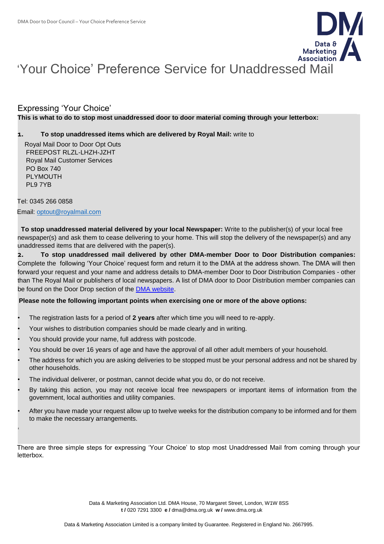

# 'Your Choice' Preference Service for Unaddressed Mail

### Expressing 'Your Choice'

#### **This is what to do to stop most unaddressed door to door material coming through your letterbox:**

#### **1. To stop unaddressed items which are delivered by Royal Mail:** write to

 Royal Mail Door to Door Opt Outs FREEPOST RLZL-LHZH-JZHT Royal Mail Customer Services PO Box 740 PI YMOUTH PL9 7YB

Tel: 0345 266 0858 Email: [optout@royalmail.com](mailto:optout@royalmail.com)

'

**To stop unaddressed material delivered by your local Newspaper:** Write to the publisher(s) of your local free newspaper(s) and ask them to cease delivering to your home. This will stop the delivery of the newspaper(s) and any unaddressed items that are delivered with the paper(s).

**2. To stop unaddressed mail delivered by other DMA-member Door to Door Distribution companies:** Complete the following 'Your Choice' request form and return it to the DMA at the address shown. The DMA will then forward your request and your name and address details to DMA-member Door to Door Distribution Companies - other than The Royal Mail or publishers of local newspapers. A list of DMA door to Door Distribution member companies can be found on the Door Drop section of the [DMA website.](https://dma.org.uk/)

#### **Please note the following important points when exercising one or more of the above options:**

- The registration lasts for a period of **2 years** after which time you will need to re-apply.
- Your wishes to distribution companies should be made clearly and in writing.
- You should provide your name, full address with postcode.
- You should be over 16 years of age and have the approval of all other adult members of your household.
- The address for which you are asking deliveries to be stopped must be your personal address and not be shared by other households.
- The individual deliverer, or postman, cannot decide what you do, or do not receive.
- By taking this action, you may not receive local free newspapers or important items of information from the government, local authorities and utility companies.
- After you have made your request allow up to twelve weeks for the distribution company to be informed and for them to make the necessary arrangements.

There are three simple steps for expressing 'Your Choice' to stop most Unaddressed Mail from coming through your letterbox.